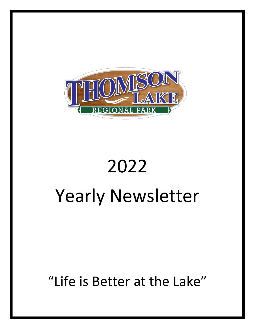

# 2022 Yearly Newsletter

## "Life is Better at the Lake"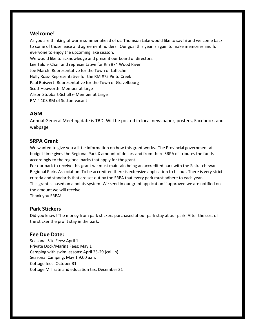#### **Welcome!**

As you are thinking of warm summer ahead of us. Thomson Lake would like to say hi and welcome back to some of those lease and agreement holders. Our goal this year is again to make memories and for everyone to enjoy the upcoming lake season.

We would like to acknowledge and present our board of directors.

Lee Talon- Chair and representative for Rm #74 Wood River

Joe March- Representative for the Town of Lafleche

Holly Ross- Representative for the RM #75 Pinto Creek

Paul Boisvert- Representative for the Town of Gravelbourg

Scott Hepworth- Member at large

Alison Stobbart-Schultz- Member at Large

RM # 103 RM of Sutton-vacant

#### **AGM**

Annual General Meeting date is TBD. Will be posted in local newspaper, posters, Facebook, and webpage

#### **SRPA Grant**

We wanted to give you a little information on how this grant works. The Provincial government at budget time gives the Regional Park X amount of dollars and from there SRPA distributes the funds accordingly to the regional parks that apply for the grant.

For our park to receive this grant we must maintain being an accredited park with the Saskatchewan Regional Parks Association. To be accredited there is extensive application to fill out. There is very strict criteria and standards that are set out by the SRPA that every park must adhere to each year. This grant is based on a points system. We send in our grant application if approved we are notified on the amount we will receive.

Thank you SRPA!

#### **Park Stickers**

Did you know! The money from park stickers purchased at our park stay at our park. After the cost of the sticker the profit stay in the park.

#### **Fee Due Date:**

Seasonal Site Fees: April 1 Private Dock/Marina Fees: May 1 Camping with swim lessons: April 25-29 (call in) Seasonal Camping: May 1 9:00 a.m. Cottage fees: October 31 Cottage Mill rate and education tax: December 31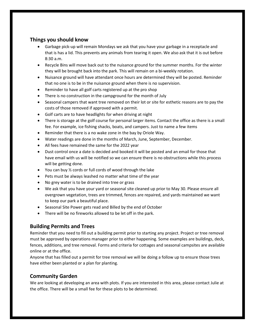#### **Things you should know**

- Garbage pick-up will remain Mondays we ask that you have your garbage in a receptacle and that is has a lid. This prevents any animals from tearing it open. We also ask that it is out before 8:30 a.m.
- Recycle Bins will move back out to the nuisance ground for the summer months. For the winter they will be brought back into the park. This will remain on a bi-weekly rotation.
- Nuisance ground will have attendant once hours are determined they will be posted. Reminder that no one is to be in the nuisance ground when there is no supervision.
- Reminder to have all golf carts registered up at the pro shop
- There is no construction in the campground for the month of July
- Seasonal campers that want tree removed on their lot or site for esthetic reasons are to pay the costs of those removed if approved with a permit.
- Golf carts are to have headlights for when driving at night
- There is storage at the golf course for personal larger items. Contact the office as there is a small fee. For example, ice fishing shacks, boats, and campers. Just to name a few items
- Reminder that there is a no wake zone in the bay by Oriole Way.
- Water readings are done in the months of March, June, September, December.
- All fees have remained the same for the 2022 year
- Dust control once a date is decided and booked it will be posted and an email for those that have email with us will be notified so we can ensure there is no obstructions while this process will be getting done.
- You can buy ½ cords or full cords of wood through the lake
- Pets must be always leashed no matter what time of the year
- No grey water is to be drained into tree or grass
- We ask that you have your yard or seasonal site cleaned up prior to May 30. Please ensure all overgrown vegetation, trees are trimmed, fences are repaired, and yards maintained we want to keep our park a beautiful place.
- Seasonal Site Power gets read and Billed by the end of October
- There will be no fireworks allowed to be let off in the park.

#### **Building Permits and Trees**

Reminder that you need to fill out a building permit prior to starting any project. Project or tree removal must be approved by operations manager prior to either happening. Some examples are buildings, deck, fences, additions, and tree removal. Forms and criteria for cottages and seasonal campsites are available online or at the office.

Anyone that has filled out a permit for tree removal we will be doing a follow up to ensure those trees have either been planted or a plan for planting.

#### **Community Garden**

We are looking at developing an area with plots. If you are interested in this area, please contact Julie at the office. There will be a small fee for these plots to be determined.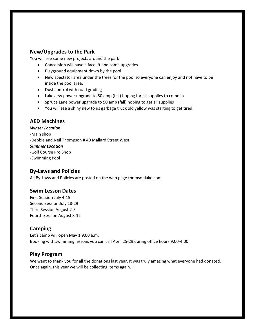#### **New/Upgrades to the Park**

You will see some new projects around the park

- Concession will have a facelift and some upgrades.
- Playground equipment down by the pool
- New spectator area under the trees for the pool so everyone can enjoy and not have to be inside the pool area.
- Dust control with road grading
- Lakeview power upgrade to 50 amp (fall) hoping for all supplies to come in
- Spruce Lane power upgrade to 50 amp (fall) hoping to get all supplies
- You will see a shiny new to us garbage truck old yellow was starting to get tired.

#### **AED Machines**

*Winter Location* -Main shop -Debbie and Neil Thompson # 40 Mallard Street West *Summer Location* -Golf Course Pro Shop -Swimming Pool

#### **By-Laws and Policies**

All By-Laws and Policies are posted on the web page thomsonlake.com

#### **Swim Lesson Dates**

First Session July 4-15 Second Session July 18-29 Third Session August 2-5 Fourth Session August 8-12

#### **Camping**

Let's camp will open May 1 9:00 a.m. Booking with swimming lessons you can call April 25-29 during office hours 9:00-4:00

#### **Play Program**

We want to thank you for all the donations last year. It was truly amazing what everyone had donated. Once again, this year we will be collecting items again.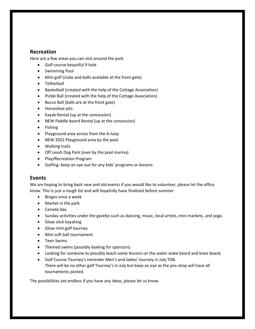#### **Recreation**

Here are a few areas you can visit around the park

- Golf course beautiful 9 hole
- Swimming Pool
- Mini golf (clubs and balls available at the front gate)
- Tetherball
- Basketball (created with the help of the Cottage Association)
- Pickle Ball (created with the help of the Cottage Association)
- Bocce Ball (balls are at the front gate)
- Horseshoe pits
- Kayak Rental (up at the concession)
- NEW Paddle board Rental (up at the concession)
- Fishing
- Playground area across from the A-loop
- NEW 2022 Playground area by the pool
- Walking trails
- Off Leash Dog Park (over by the pool marina)
- Play/Recreation Program
- Golfing- keep an eye out for any kids' programs or lessons

#### **Events**

We are hoping to bring back new and old events if you would like to volunteer, please let the office know. This is just a rough list and will hopefully have finalized before summer

- Bingos once a week
- Market in the park
- Canada day
- Sunday activities under the gazebo such as dancing, music, local artists, mini markets, and yoga
- Glow stick kayaking
- Glow mini golf tourney
- Mini soft ball tournament
- Teen Swims
- Themed swims (possibly looking for sponsors)
- Looking for someone to possibly teach some lessons on the water wake board and knee board.
- Golf Course Tourney's reminder Men's and ladies' tourney in July TDB. There will be no other golf Tourney's in July but keep an eye as the pro-shop will have all tournaments posted.

The possibilities are endless if you have any ideas, please let us know.